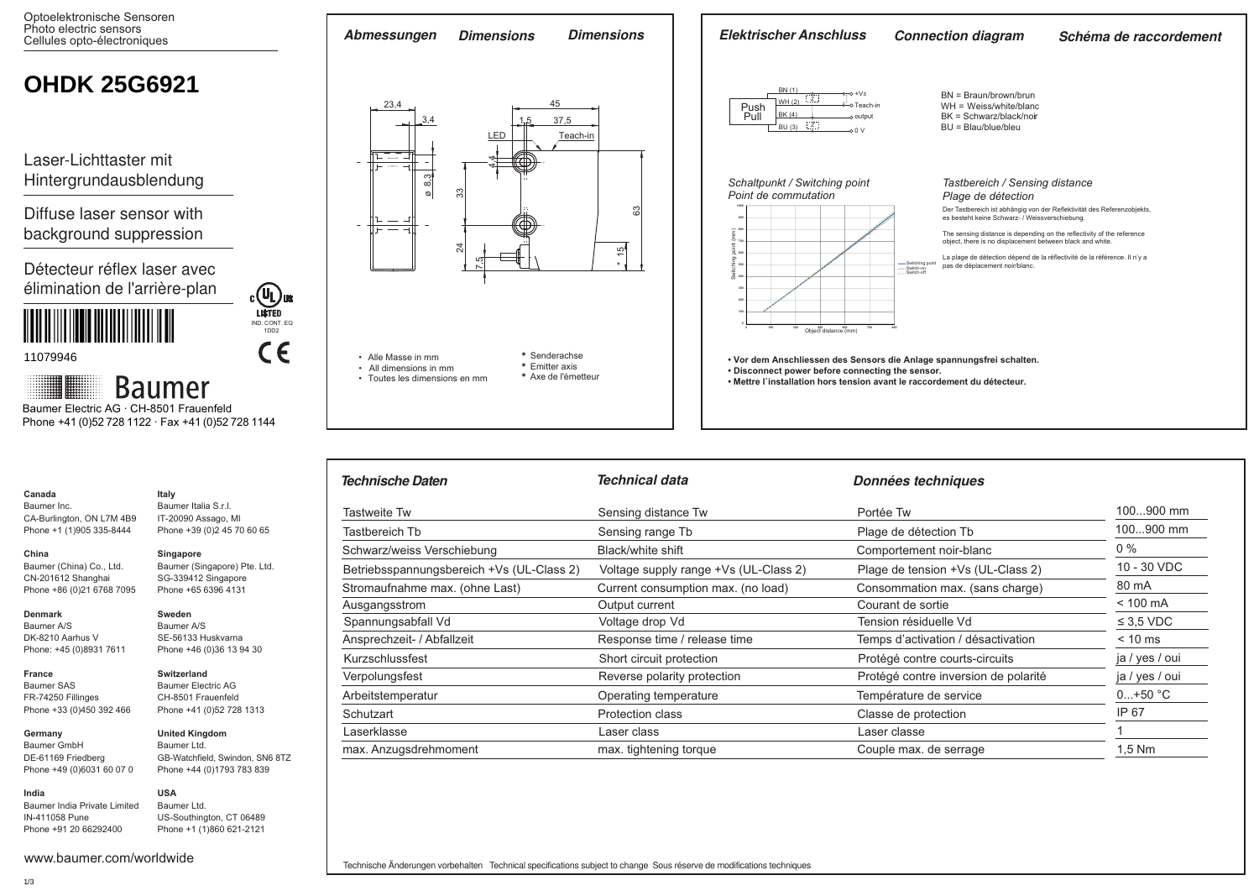Optoelektronische Sensoren Photo electric sensors Cellules opto-électroniques



| Technische Daten                          | Technical data                        | Données techniques                   |                |
|-------------------------------------------|---------------------------------------|--------------------------------------|----------------|
| <b>Tastweite Tw</b>                       | Sensing distance Tw                   | Portée Tw                            | 100900 mm      |
| Tastbereich Tb                            | Sensing range Tb                      | Plage de détection Tb                | 100900 mm      |
| Schwarz/weiss Verschiebung                | Black/white shift                     | Comportement noir-blanc              | $0\%$          |
| Betriebsspannungsbereich +Vs (UL-Class 2) | Voltage supply range +Vs (UL-Class 2) | Plage de tension +Vs (UL-Class 2)    | 10 - 30 VDC    |
| Stromaufnahme max. (ohne Last)            | Current consumption max. (no load)    | Consommation max. (sans charge)      | 80 mA          |
| Ausgangsstrom                             | Output current                        | Courant de sortie                    | $< 100$ mA     |
| Spannungsabfall Vd                        | Voltage drop Vd                       | Tension résiduelle Vd                | $\leq$ 3.5 VDC |
| Ansprechzeit- / Abfallzeit                | Response time / release time          | Temps d'activation / désactivation   | $< 10$ ms      |
| Kurzschlussfest                           | Short circuit protection              | Protégé contre courts-circuits       | ja / yes / oui |
| Verpolungsfest                            | Reverse polarity protection           | Protégé contre inversion de polarité | ja / yes / oui |
| Arbeitstemperatur                         | Operating temperature                 | Température de service               | $0+50 °C$      |
| Schutzart                                 | <b>Protection class</b>               | Classe de protection                 | IP 67          |
| Laserklasse                               | Laser class                           | Laser classe                         |                |
| max. Anzugsdrehmoment                     | max. tightening torque                | Couple max. de serrage               | $1,5$ Nm       |

Baumer A/S DK-8210 Aarhus V Phone: +45 (0)8931 7611

**France** Baumer SAS FR-74250 Fillinges Phone +33 (0)450 392 466

CA-Burlington, ON L7M 4B9 Phone +1 (1)905 335-8444

Baumer (China) Co., Ltd. CN-201612 Shanghai Phone +86 (0)21 6768 7095

**Canada** Baumer Inc.

**China** 

**Denmark**

**Germany**  Baumer GmbH DE-61169 Friedberg

Phone +49 (0)6031 60 07 0 **India**

www.baumer.com/worldwide

Baumer India Private Limited IN-411058 Pune Phone +91 20 66292400

## **Switzerland** Baumer Electric AG

**Italy** Baumer Italia S.r.l. IT-20090 Assago, MI Phone +39 (0)2 45 70 60 65

**Singapore**

**Sweden** Baumer A/S SE-56133 Huskvarna Phone +46 (0)36 13 94 30

Baumer (Singapore) Pte. Ltd. SG-339412 Singapore Phone +65 6396 4131

CH-8501 Frauenfeld Phone +41 (0)52 728 1313

**United Kingdom** Baumer Ltd.

GB-Watchfield, Swindon, SN6 8TZ Phone +44 (0)1793 783 839 **USA**

> Baumer Ltd. US-Southington, CT 06489 Phone +1 (1)860 621-2121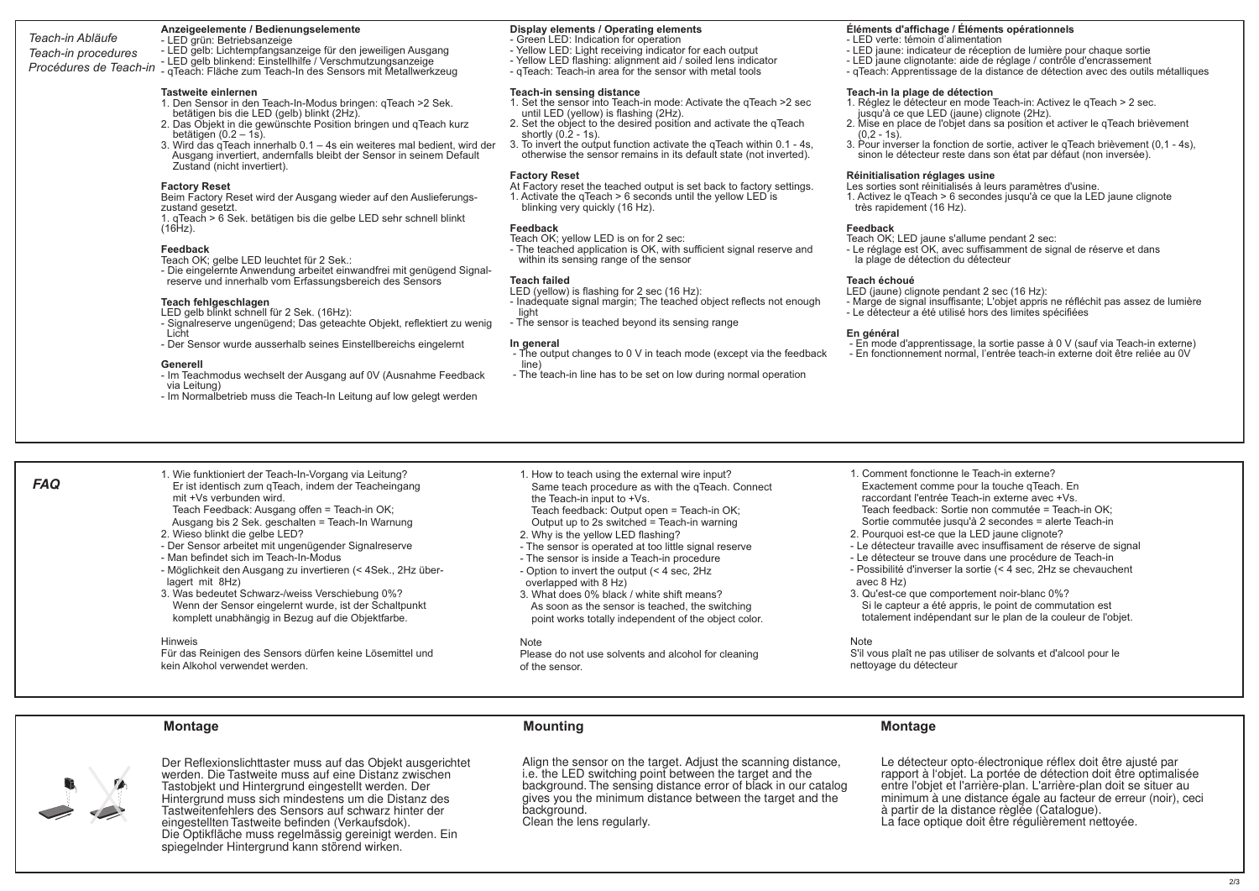## **Anzeigeelemente / Bedienungselemente**

*Teach-in Abläufe Teach-in procedures Procédures de Teach-in* - LED grün: Betriebsanzeige - LED gelb: Lichtempfangsanzeige für den jeweiligen Ausgang - LED gelb blinkend: Einstellhilfe / Verschmutzungsanzeige - qTeach: Fläche zum Teach-In des Sensors mit Metallwerkzeug

## **Tastweite einlernen**

- 1. Den Sensor in den Teach-In-Modus bringen: qTeach >2 Sek. betätigen bis die LED (gelb) blinkt (2Hz).
- 2. Das Objekt in die gewünschte Position bringen und qTeach kurz betätigen (0.2 – 1s).
- 3. Wird das gTeach innerhalb 0.1 4s ein weiteres mal bedient, wird der Ausgang invertiert, andernfalls bleibt der Sensor in seinem Default Zustand (nicht invertiert).

## **Factory Reset**

Beim Factory Reset wird der Ausgang wieder auf den Auslieferungszustand gesetzt.

1. qTeach > 6 Sek. betätigen bis die gelbe LED sehr schnell blinkt  $(16Hz)$ .

## **Feedback**

Teach OK; gelbe LED leuchtet für 2 Sek.:

- Die eingelernte Anwendung arbeitet einwandfrei mit genügend Signal reserve und innerhalb vom Erfassungsbereich des Sensors

## **Teach fehlgeschlagen**

- LED gelb blinkt schnell für 2 Sek. (16Hz):
- Signalreserve ungenügend; Das geteachte Objekt, reflektiert zu wenig Licht
- Der Sensor wurde ausserhalb seines Einstellbereichs eingelernt

## **Generell**

- Im Teachmodus wechselt der Ausgang auf 0V (Ausnahme Feedback
- via Leitung)
- Im Normalbetrieb muss die Teach-In Leitung auf low gelegt werden

## **Display elements / Operating elements**

- Green LED: Indication for operation
- Yellow LED: Light receiving indicator for each output
- Yellow LED flashing: alignment aid / soiled lens indicator
- qTeach: Teach-in area for the sensor with metal tools

## **Teach-in sensing distance**

- 1. Set the sensor into Teach-in mode: Activate the qTeach >2 sec until LED (yellow) is flashing (2Hz).
- 2. Set the object to the desired position and activate the qTeach shortly  $(0.2 - 1s)$ .
- 3. To invert the output function activate the qTeach within 0.1 4s, otherwise the sensor remains in its default state (not inverted).

## **Factory Reset**

At Factory reset the teached output is set back to factory settings. 1. Activate the qTeach > 6 seconds until the yellow LED is blinking very quickly (16 Hz).

## **Feedback**

Teach OK; yellow LED is on for 2 sec:

- The teached application is OK, with sufficient signal reserve and within its sensing range of the sensor

### **Teach failed**

- LED (yellow) is flashing for 2 sec (16 Hz):
- Inadequate signal margin; The teached object reflects not enough light
- The sensor is teached beyond its sensing range

## **In general**

- The output changes to 0 V in teach mode (except via the feedback line)
- The teach-in line has to be set on low during normal operation

## **Éléments d'affichage / Éléments opérationnels**

- LED verte: témoin d'alimentation
- LED jaune: indicateur de réception de lumière pour chaque sortie
- LED jaune clignotante: aide de réglage / contrôle d'encrassement
- qTeach: Apprentissage de la distance de détection avec des outils métalliques

## **Teach-in la plage de détection**

- 1. Réglez le détecteur en mode Teach-in: Activez le qTeach > 2 sec. jusqu'à ce que LED (jaune) clignote (2Hz).
- 2. Mise en place de l'objet dans sa position et activer le qTeach brièvement  $(0.2 - 1s)$ .
- 3. Pour inverser la fonction de sortie, activer le qTeach brièvement (0,1 4s), sinon le détecteur reste dans son état par défaut (non inversée).

## **Réinitialisation réglages usine**

- Les sorties sont réinitialisés à leurs paramètres d'usine.
- 1. Activez le qTeach > 6 secondes jusqu'à ce que la LED jaune clignote très rapidement (16 Hz).

## **Feedback**

Teach OK; LED jaune s'allume pendant 2 sec:

- Le réglage est OK, avec suffisamment de signal de réserve et dans la plage de détection du détecteur

## **Teach échoué**

LED (jaune) clignote pendant 2 sec (16 Hz):

- Marge de signal insuffisante; L'objet appris ne réfléchit pas assez de lumière - Le détecteur a été utilisé hors des limites spécifiées
	-

## **En général**

- En mode d'apprentissage, la sortie passe à 0 V (sauf via Teach-in externe)
- En fonctionnement normal, l'entrée teach-in externe doit être reliée au 0V

- 1. Wie funktioniert der Teach-In-Vorgang via Leitung? Er ist identisch zum qTeach, indem der Teacheingang mit +Vs verbunden wird.
- Teach Feedback: Ausgang offen = Teach-in OK; Ausgang bis 2 Sek. geschalten = Teach-In Warnung
- 2. Wieso blinkt die gelbe LED? - Der Sensor arbeitet mit ungenügender Signalreserve
- Man befindet sich im Teach-In-Modus
- Möglichkeit den Ausgang zu invertieren (< 4Sek., 2Hz über lagert mit 8Hz)
- 3. Was bedeutet Schwarz-/weiss Verschiebung 0%? Wenn der Sensor eingelernt wurde, ist der Schaltpunkt komplett unabhängig in Bezug auf die Objektfarbe.

## Hinweis

Für das Reinigen des Sensors dürfen keine Lösemittel und kein Alkohol verwendet werden.

- 1. How to teach using the external wire input? Same teach procedure as with the qTeach. Connect the Teach-in input to +Vs.
- Teach feedback: Output open = Teach-in OK; Output up to 2s switched = Teach-in warning
- 2. Why is the yellow LED flashing?
- The sensor is operated at too little signal reserve - The sensor is inside a Teach-in procedure
- Option to invert the output (< 4 sec, 2Hz overlapped with 8 Hz)
- 3. What does 0% black / white shift means? As soon as the sensor is teached, the switching point works totally independent of the object color.

### **Note**

Please do not use solvents and alcohol for cleaning of the sensor.

- 1. Comment fonctionne le Teach-in externe? Exactement comme pour la touche qTeach. En raccordant l'entrée Teach-in externe avec +Vs. Teach feedback: Sortie non commutée = Teach-in OK; Sortie commutée jusqu'à 2 secondes = alerte Teach-in
- 2. Pourquoi est-ce que la LED jaune clignote?
- Le détecteur travaille avec insuffisament de réserve de signal
- Le détecteur se trouve dans une procédure de Teach-in
- Possibilité d'inverser la sortie (< 4 sec, 2Hz se chevauchent avec 8 Hz)
- 3. Qu'est-ce que comportement noir-blanc 0%? Si le capteur a été appris, le point de commutation est totalement indépendant sur le plan de la couleur de l'objet.

## **Note**

S'il vous plaît ne pas utiliser de solvants et d'alcool pour le nettoyage du détecteur



**FAQ**

Der Reflexionslichttaster muss auf das Objekt ausgerichtet werden. Die Tastweite muss auf eine Distanz zwischen Tastobjekt und Hintergrund eingestellt werden. Der Hintergrund muss sich mindestens um die Distanz des Tastweitenfehlers des Sensors auf schwarz hinter der eingestellten Tastweite befinden (Verkaufsdok). Die Optikfläche muss regelmässig gereinigt werden. Ein spiegelnder Hintergrund kann störend wirken.

## **Montage Mounting Montage**

Align the sensor on the target. Adjust the scanning distance, i.e. the LED switching point between the target and the background. The sensing distance error of black in our catalog gives you the minimum distance between the target and the background. Clean the lens regularly.

Le détecteur opto-électronique réflex doit être ajusté par rapport à l'objet. La portée de détection doit être optimalisée entre l'objet et l'arrière-plan. L'arrière-plan doit se situer au minimum à une distance égale au facteur de erreur (noir), ceci à partir de la distance règlée (Catalogue). La face optique doit être régulièrement nettoyée.